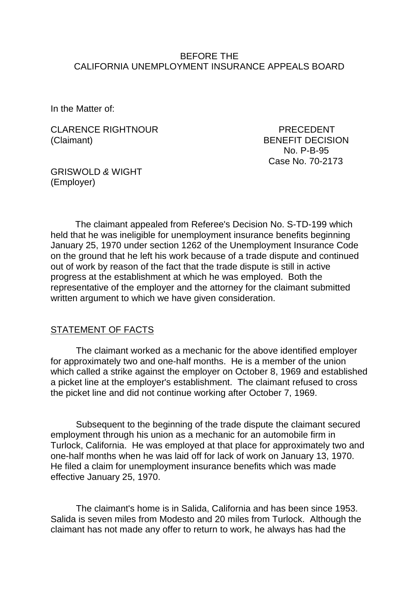#### BEFORE THE CALIFORNIA UNEMPLOYMENT INSURANCE APPEALS BOARD

In the Matter of:

CLARENCE RIGHTNOUR PRECEDENT (Claimant) BENEFIT DECISION

 No. P-B-95 Case No. 70-2173

GRISWOLD *&* WIGHT (Employer)

The claimant appealed from Referee's Decision No. S-TD-199 which held that he was ineligible for unemployment insurance benefits beginning January 25, 1970 under section 1262 of the Unemployment Insurance Code on the ground that he left his work because of a trade dispute and continued out of work by reason of the fact that the trade dispute is still in active progress at the establishment at which he was employed. Both the representative of the employer and the attorney for the claimant submitted written argument to which we have given consideration.

### STATEMENT OF FACTS

The claimant worked as a mechanic for the above identified employer for approximately two and one-half months. He is a member of the union which called a strike against the employer on October 8, 1969 and established a picket line at the employer's establishment. The claimant refused to cross the picket line and did not continue working after October 7, 1969.

Subsequent to the beginning of the trade dispute the claimant secured employment through his union as a mechanic for an automobile firm in Turlock, California. He was employed at that place for approximately two and one-half months when he was laid off for lack of work on January 13, 1970. He filed a claim for unemployment insurance benefits which was made effective January 25, 1970.

The claimant's home is in Salida, California and has been since 1953. Salida is seven miles from Modesto and 20 miles from Turlock. Although the claimant has not made any offer to return to work, he always has had the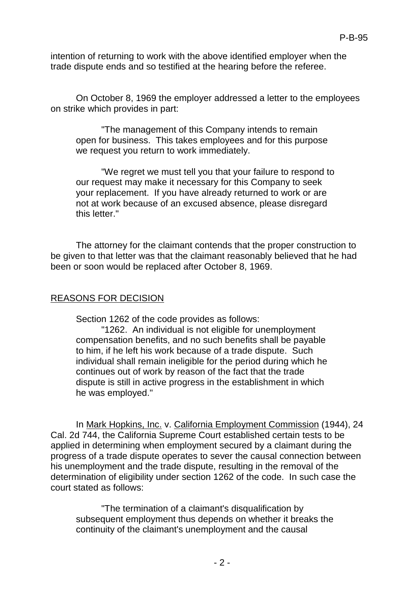intention of returning to work with the above identified employer when the trade dispute ends and so testified at the hearing before the referee.

On October 8, 1969 the employer addressed a letter to the employees on strike which provides in part:

"The management of this Company intends to remain open for business. This takes employees and for this purpose we request you return to work immediately.

"We regret we must tell you that your failure to respond to our request may make it necessary for this Company to seek your replacement. If you have already returned to work or are not at work because of an excused absence, please disregard this letter."

The attorney for the claimant contends that the proper construction to be given to that letter was that the claimant reasonably believed that he had been or soon would be replaced after October 8, 1969.

## REASONS FOR DECISION

Section 1262 of the code provides as follows:

"1262. An individual is not eligible for unemployment compensation benefits, and no such benefits shall be payable to him, if he left his work because of a trade dispute. Such individual shall remain ineligible for the period during which he continues out of work by reason of the fact that the trade dispute is still in active progress in the establishment in which he was employed."

In Mark Hopkins, Inc. v. California Employment Commission (1944), 24 Cal. 2d 744, the California Supreme Court established certain tests to be applied in determining when employment secured by a claimant during the progress of a trade dispute operates to sever the causal connection between his unemployment and the trade dispute, resulting in the removal of the determination of eligibility under section 1262 of the code. In such case the court stated as follows:

"The termination of a claimant's disqualification by subsequent employment thus depends on whether it breaks the continuity of the claimant's unemployment and the causal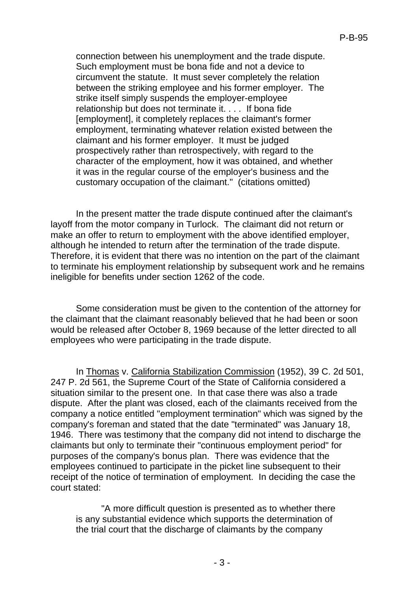connection between his unemployment and the trade dispute. Such employment must be bona fide and not a device to circumvent the statute. It must sever completely the relation between the striking employee and his former employer. The strike itself simply suspends the employer-employee relationship but does not terminate it. . . . If bona fide [employment], it completely replaces the claimant's former employment, terminating whatever relation existed between the claimant and his former employer. It must be judged prospectively rather than retrospectively, with regard to the character of the employment, how it was obtained, and whether it was in the regular course of the employer's business and the customary occupation of the claimant." (citations omitted)

In the present matter the trade dispute continued after the claimant's layoff from the motor company in Turlock. The claimant did not return or make an offer to return to employment with the above identified employer, although he intended to return after the termination of the trade dispute. Therefore, it is evident that there was no intention on the part of the claimant to terminate his employment relationship by subsequent work and he remains ineligible for benefits under section 1262 of the code.

Some consideration must be given to the contention of the attorney for the claimant that the claimant reasonably believed that he had been or soon would be released after October 8, 1969 because of the letter directed to all employees who were participating in the trade dispute.

In Thomas v. California Stabilization Commission (1952), 39 C. 2d 501, 247 P. 2d 561, the Supreme Court of the State of California considered a situation similar to the present one. In that case there was also a trade dispute. After the plant was closed, each of the claimants received from the company a notice entitled "employment termination" which was signed by the company's foreman and stated that the date "terminated" was January 18, 1946. There was testimony that the company did not intend to discharge the claimants but only to terminate their "continuous employment period" for purposes of the company's bonus plan. There was evidence that the employees continued to participate in the picket line subsequent to their receipt of the notice of termination of employment. In deciding the case the court stated:

"A more difficult question is presented as to whether there is any substantial evidence which supports the determination of the trial court that the discharge of claimants by the company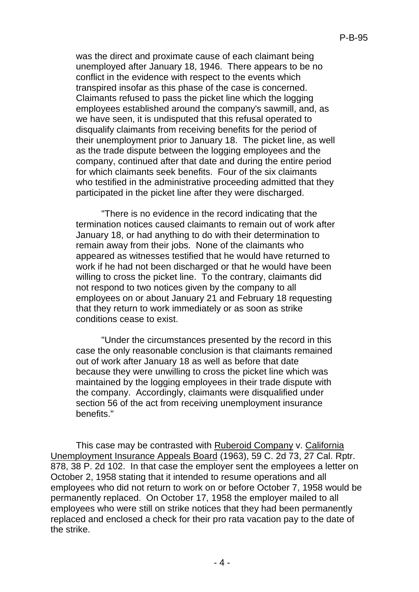was the direct and proximate cause of each claimant being unemployed after January 18, 1946. There appears to be no conflict in the evidence with respect to the events which transpired insofar as this phase of the case is concerned. Claimants refused to pass the picket line which the logging employees established around the company's sawmill, and, as we have seen, it is undisputed that this refusal operated to disqualify claimants from receiving benefits for the period of their unemployment prior to January 18. The picket line, as well as the trade dispute between the logging employees and the company, continued after that date and during the entire period for which claimants seek benefits. Four of the six claimants who testified in the administrative proceeding admitted that they participated in the picket line after they were discharged.

"There is no evidence in the record indicating that the termination notices caused claimants to remain out of work after January 18, or had anything to do with their determination to remain away from their jobs. None of the claimants who appeared as witnesses testified that he would have returned to work if he had not been discharged or that he would have been willing to cross the picket line. To the contrary, claimants did not respond to two notices given by the company to all employees on or about January 21 and February 18 requesting that they return to work immediately or as soon as strike conditions cease to exist.

"Under the circumstances presented by the record in this case the only reasonable conclusion is that claimants remained out of work after January 18 as well as before that date because they were unwilling to cross the picket line which was maintained by the logging employees in their trade dispute with the company. Accordingly, claimants were disqualified under section 56 of the act from receiving unemployment insurance benefits."

This case may be contrasted with Ruberoid Company v. California Unemployment Insurance Appeals Board (1963), 59 C. 2d 73, 27 Cal. Rptr. 878, 38 P. 2d 102. In that case the employer sent the employees a letter on October 2, 1958 stating that it intended to resume operations and all employees who did not return to work on or before October 7, 1958 would be permanently replaced. On October 17, 1958 the employer mailed to all employees who were still on strike notices that they had been permanently replaced and enclosed a check for their pro rata vacation pay to the date of the strike.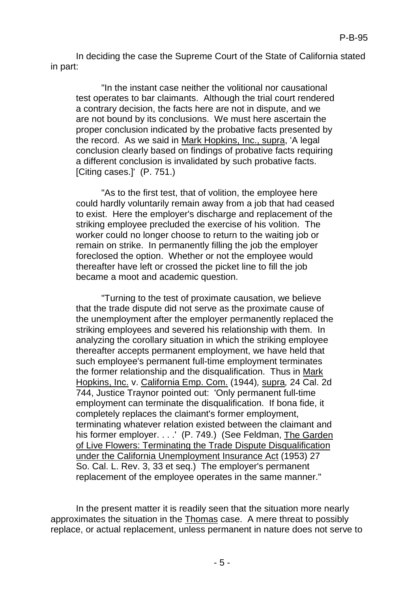In deciding the case the Supreme Court of the State of California stated in part:

"In the instant case neither the volitional nor causational test operates to bar claimants. Although the trial court rendered a contrary decision, the facts here are not in dispute, and we are not bound by its conclusions. We must here ascertain the proper conclusion indicated by the probative facts presented by the record. As we said in Mark Hopkins, Inc., supra, 'A legal conclusion clearly based on findings of probative facts requiring a different conclusion is invalidated by such probative facts. [Citing cases.]' (P. 751.)

"As to the first test, that of volition, the employee here could hardly voluntarily remain away from a job that had ceased to exist. Here the employer's discharge and replacement of the striking employee precluded the exercise of his volition. The worker could no longer choose to return to the waiting job or remain on strike. In permanently filling the job the employer foreclosed the option. Whether or not the employee would thereafter have left or crossed the picket line to fill the job became a moot and academic question.

"Turning to the test of proximate causation, we believe that the trade dispute did not serve as the proximate cause of the unemployment after the employer permanently replaced the striking employees and severed his relationship with them. In analyzing the corollary situation in which the striking employee thereafter accepts permanent employment, we have held that such employee's permanent full-time employment terminates the former relationship and the disqualification. Thus in Mark Hopkins, Inc. v. California Emp. Com. (1944)*,* supra*,* 24 Cal. 2d 744, Justice Traynor pointed out: 'Only permanent full-time employment can terminate the disqualification. If bona fide, it completely replaces the claimant's former employment, terminating whatever relation existed between the claimant and his former employer. . . . ' (P. 749.) (See Feldman, The Garden of Live Flowers: Terminating the Trade Dispute Disqualification under the California Unemployment Insurance Act (1953) 27 So. Cal. L. Rev. 3, 33 et seq.) The employer's permanent replacement of the employee operates in the same manner."

In the present matter it is readily seen that the situation more nearly approximates the situation in the Thomas case. A mere threat to possibly replace, or actual replacement, unless permanent in nature does not serve to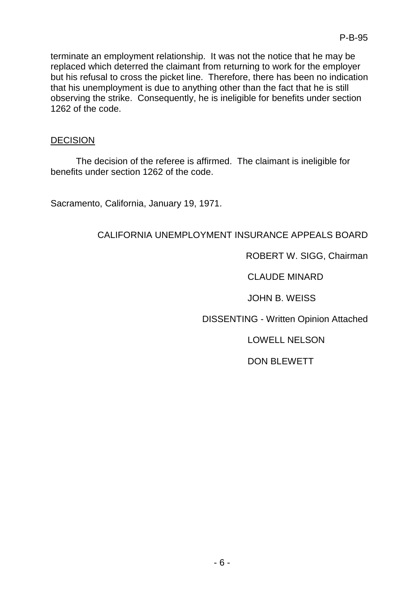terminate an employment relationship. It was not the notice that he may be replaced which deterred the claimant from returning to work for the employer but his refusal to cross the picket line. Therefore, there has been no indication that his unemployment is due to anything other than the fact that he is still observing the strike. Consequently, he is ineligible for benefits under section 1262 of the code.

## **DECISION**

The decision of the referee is affirmed. The claimant is ineligible for benefits under section 1262 of the code.

Sacramento, California, January 19, 1971.

# CALIFORNIA UNEMPLOYMENT INSURANCE APPEALS BOARD

## ROBERT W. SIGG, Chairman

CLAUDE MINARD

JOHN B. WEISS

DISSENTING - Written Opinion Attached

LOWELL NELSON

DON BLEWETT